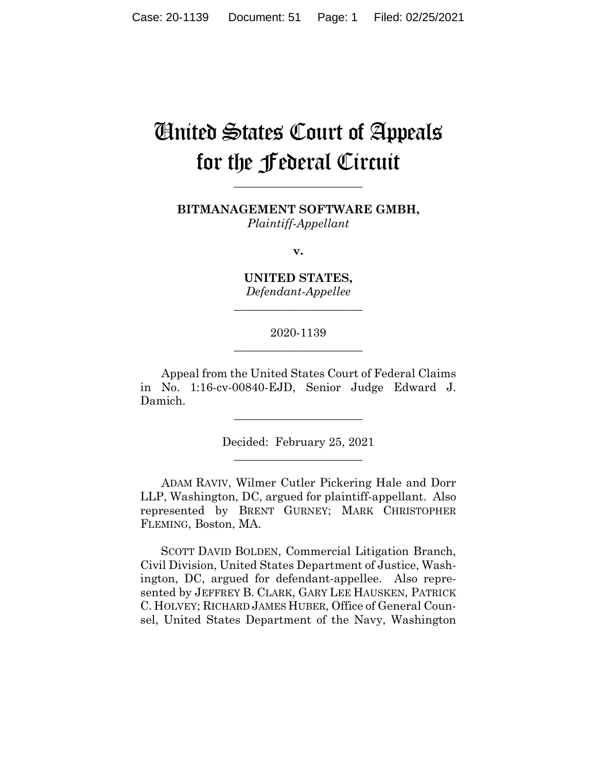# United States Court of Appeals for the Federal Circuit

**BITMANAGEMENT SOFTWARE GMBH,** *Plaintiff-Appellant*

**\_\_\_\_\_\_\_\_\_\_\_\_\_\_\_\_\_\_\_\_\_\_**

**v.**

**UNITED STATES,** *Defendant-Appellee*

**\_\_\_\_\_\_\_\_\_\_\_\_\_\_\_\_\_\_\_\_\_\_**

# 2020-1139 **\_\_\_\_\_\_\_\_\_\_\_\_\_\_\_\_\_\_\_\_\_\_**

Appeal from the United States Court of Federal Claims in No. 1:16-cv-00840-EJD, Senior Judge Edward J. Damich.

\_\_\_\_\_\_\_\_\_\_\_\_\_\_\_\_\_\_\_\_\_\_

Decided: February 25, 2021 \_\_\_\_\_\_\_\_\_\_\_\_\_\_\_\_\_\_\_\_\_\_

ADAM RAVIV, Wilmer Cutler Pickering Hale and Dorr LLP, Washington, DC, argued for plaintiff-appellant. Also represented by BRENT GURNEY; MARK CHRISTOPHER FLEMING, Boston, MA.

 SCOTT DAVID BOLDEN, Commercial Litigation Branch, Civil Division, United States Department of Justice, Washington, DC, argued for defendant-appellee. Also represented by JEFFREY B. CLARK, GARY LEE HAUSKEN, PATRICK C. HOLVEY; RICHARD JAMES HUBER, Office of General Counsel, United States Department of the Navy, Washington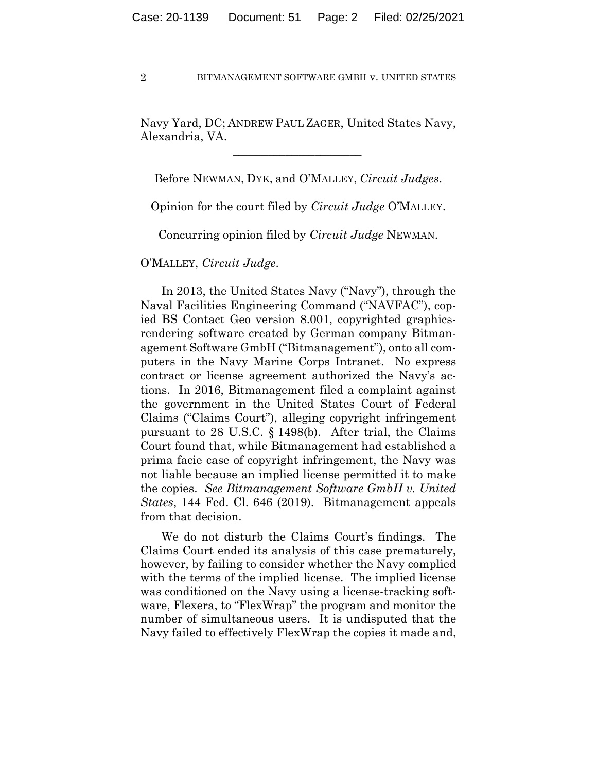Navy Yard, DC; ANDREW PAUL ZAGER, United States Navy, Alexandria, VA.

 $\mathcal{L}_\text{max}$  and  $\mathcal{L}_\text{max}$  and  $\mathcal{L}_\text{max}$  and  $\mathcal{L}_\text{max}$ 

Before NEWMAN, DYK, and O'MALLEY, *Circuit Judges*.

Opinion for the court filed by *Circuit Judge* O'MALLEY.

Concurring opinion filed by *Circuit Judge* NEWMAN.

O'MALLEY, *Circuit Judge*.

In 2013, the United States Navy ("Navy"), through the Naval Facilities Engineering Command ("NAVFAC"), copied BS Contact Geo version 8.001, copyrighted graphicsrendering software created by German company Bitmanagement Software GmbH ("Bitmanagement"), onto all computers in the Navy Marine Corps Intranet. No express contract or license agreement authorized the Navy's actions. In 2016, Bitmanagement filed a complaint against the government in the United States Court of Federal Claims ("Claims Court"), alleging copyright infringement pursuant to 28 U.S.C. § 1498(b). After trial, the Claims Court found that, while Bitmanagement had established a prima facie case of copyright infringement, the Navy was not liable because an implied license permitted it to make the copies. *See Bitmanagement Software GmbH v. United States*, 144 Fed. Cl. 646 (2019). Bitmanagement appeals from that decision.

We do not disturb the Claims Court's findings. The Claims Court ended its analysis of this case prematurely, however, by failing to consider whether the Navy complied with the terms of the implied license. The implied license was conditioned on the Navy using a license-tracking software, Flexera, to "FlexWrap" the program and monitor the number of simultaneous users. It is undisputed that the Navy failed to effectively FlexWrap the copies it made and,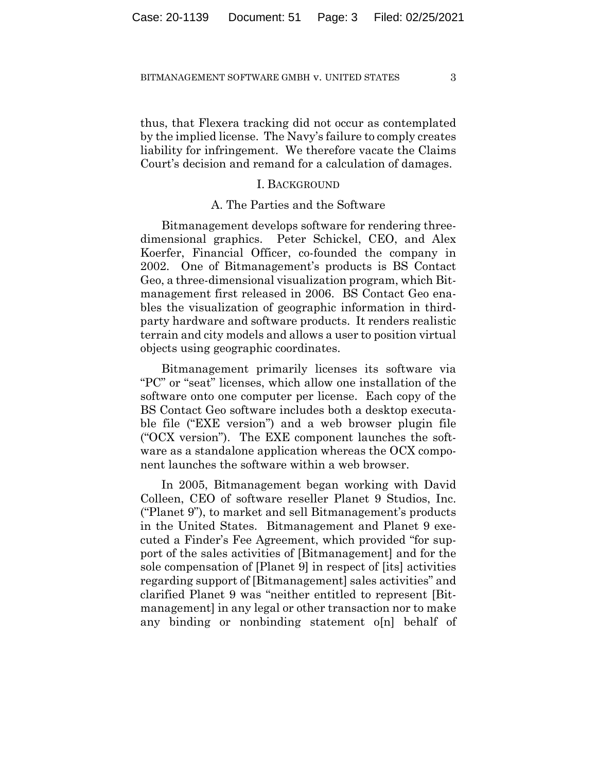thus, that Flexera tracking did not occur as contemplated by the implied license. The Navy's failure to comply creates liability for infringement. We therefore vacate the Claims Court's decision and remand for a calculation of damages.

## I. BACKGROUND

## A. The Parties and the Software

Bitmanagement develops software for rendering threedimensional graphics. Peter Schickel, CEO, and Alex Koerfer, Financial Officer, co-founded the company in 2002. One of Bitmanagement's products is BS Contact Geo, a three-dimensional visualization program, which Bitmanagement first released in 2006. BS Contact Geo enables the visualization of geographic information in thirdparty hardware and software products. It renders realistic terrain and city models and allows a user to position virtual objects using geographic coordinates.

Bitmanagement primarily licenses its software via "PC" or "seat" licenses, which allow one installation of the software onto one computer per license. Each copy of the BS Contact Geo software includes both a desktop executable file ("EXE version") and a web browser plugin file ("OCX version"). The EXE component launches the software as a standalone application whereas the OCX component launches the software within a web browser.

In 2005, Bitmanagement began working with David Colleen, CEO of software reseller Planet 9 Studios, Inc. ("Planet 9"), to market and sell Bitmanagement's products in the United States. Bitmanagement and Planet 9 executed a Finder's Fee Agreement, which provided "for support of the sales activities of [Bitmanagement] and for the sole compensation of [Planet 9] in respect of [its] activities regarding support of [Bitmanagement] sales activities" and clarified Planet 9 was "neither entitled to represent [Bitmanagement] in any legal or other transaction nor to make any binding or nonbinding statement o[n] behalf of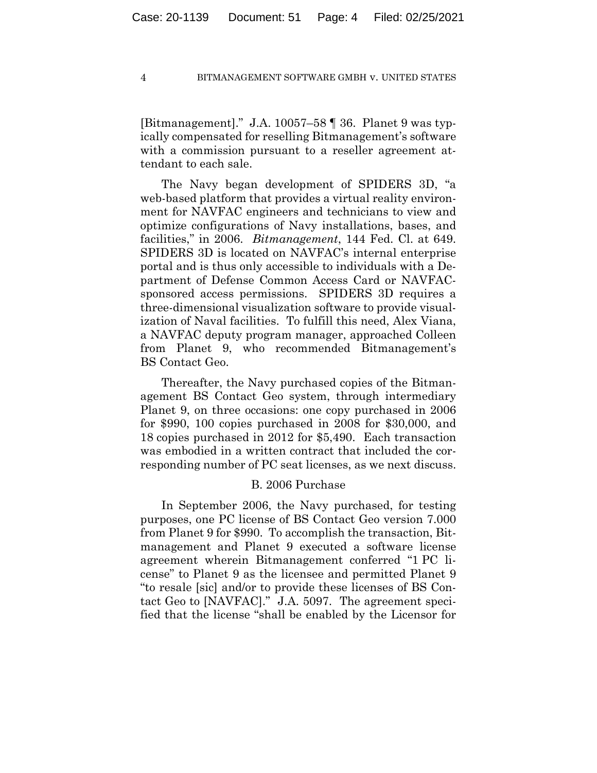[Bitmanagement]." J.A. 10057–58 ¶ 36. Planet 9 was typically compensated for reselling Bitmanagement's software with a commission pursuant to a reseller agreement attendant to each sale.

The Navy began development of SPIDERS 3D, "a web-based platform that provides a virtual reality environment for NAVFAC engineers and technicians to view and optimize configurations of Navy installations, bases, and facilities," in 2006. *Bitmanagement*, 144 Fed. Cl. at 649. SPIDERS 3D is located on NAVFAC's internal enterprise portal and is thus only accessible to individuals with a Department of Defense Common Access Card or NAVFACsponsored access permissions. SPIDERS 3D requires a three-dimensional visualization software to provide visualization of Naval facilities. To fulfill this need, Alex Viana, a NAVFAC deputy program manager, approached Colleen from Planet 9, who recommended Bitmanagement's BS Contact Geo.

Thereafter, the Navy purchased copies of the Bitmanagement BS Contact Geo system, through intermediary Planet 9, on three occasions: one copy purchased in 2006 for \$990, 100 copies purchased in 2008 for \$30,000, and 18 copies purchased in 2012 for \$5,490. Each transaction was embodied in a written contract that included the corresponding number of PC seat licenses, as we next discuss.

## B. 2006 Purchase

In September 2006, the Navy purchased, for testing purposes, one PC license of BS Contact Geo version 7.000 from Planet 9 for \$990. To accomplish the transaction, Bitmanagement and Planet 9 executed a software license agreement wherein Bitmanagement conferred "1 PC license" to Planet 9 as the licensee and permitted Planet 9 "to resale [sic] and/or to provide these licenses of BS Contact Geo to [NAVFAC]." J.A. 5097. The agreement specified that the license "shall be enabled by the Licensor for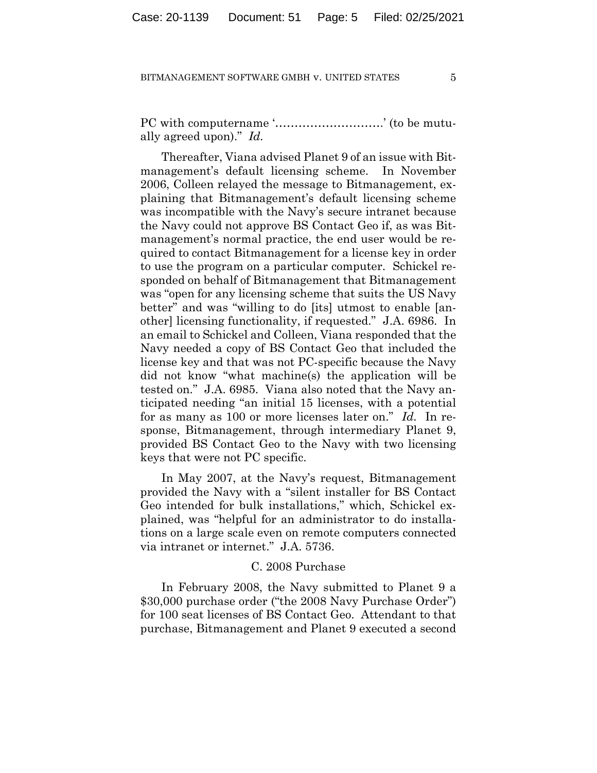PC with computername '..................................' (to be mutually agreed upon)." *Id.*

Thereafter, Viana advised Planet 9 of an issue with Bitmanagement's default licensing scheme. In November 2006, Colleen relayed the message to Bitmanagement, explaining that Bitmanagement's default licensing scheme was incompatible with the Navy's secure intranet because the Navy could not approve BS Contact Geo if, as was Bitmanagement's normal practice, the end user would be required to contact Bitmanagement for a license key in order to use the program on a particular computer. Schickel responded on behalf of Bitmanagement that Bitmanagement was "open for any licensing scheme that suits the US Navy better" and was "willing to do [its] utmost to enable [another] licensing functionality, if requested." J.A. 6986. In an email to Schickel and Colleen, Viana responded that the Navy needed a copy of BS Contact Geo that included the license key and that was not PC-specific because the Navy did not know "what machine(s) the application will be tested on." J.A. 6985. Viana also noted that the Navy anticipated needing "an initial 15 licenses, with a potential for as many as 100 or more licenses later on." *Id.* In response, Bitmanagement, through intermediary Planet 9, provided BS Contact Geo to the Navy with two licensing keys that were not PC specific.

In May 2007, at the Navy's request, Bitmanagement provided the Navy with a "silent installer for BS Contact Geo intended for bulk installations," which, Schickel explained, was "helpful for an administrator to do installations on a large scale even on remote computers connected via intranet or internet." J.A. 5736.

## C. 2008 Purchase

In February 2008, the Navy submitted to Planet 9 a \$30,000 purchase order ("the 2008 Navy Purchase Order") for 100 seat licenses of BS Contact Geo. Attendant to that purchase, Bitmanagement and Planet 9 executed a second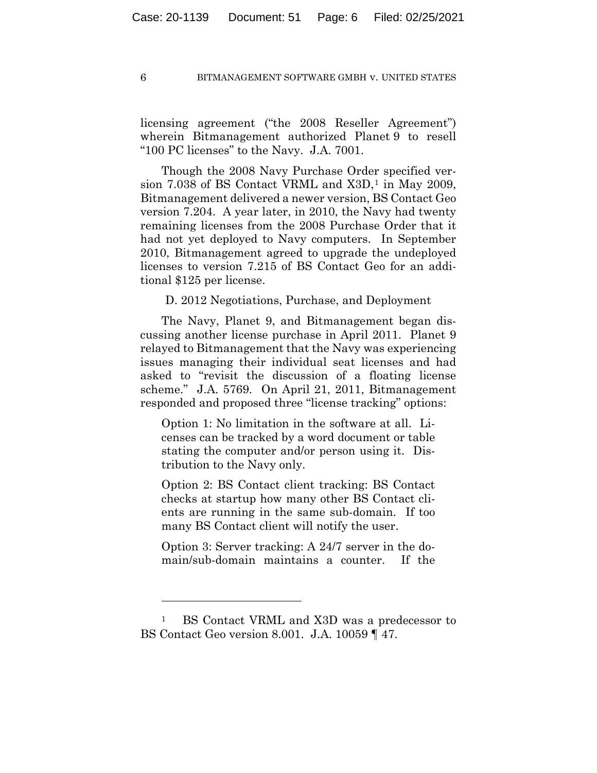licensing agreement ("the 2008 Reseller Agreement") wherein Bitmanagement authorized Planet 9 to resell "100 PC licenses" to the Navy. J.A. 7001.

Though the 2008 Navy Purchase Order specified version 7.038 of BS Contact VRML and  $X3D<sub>1</sub>$  $X3D<sub>1</sub>$  $X3D<sub>1</sub>$  in May 2009, Bitmanagement delivered a newer version, BS Contact Geo version 7.204. A year later, in 2010, the Navy had twenty remaining licenses from the 2008 Purchase Order that it had not yet deployed to Navy computers. In September 2010, Bitmanagement agreed to upgrade the undeployed licenses to version 7.215 of BS Contact Geo for an additional \$125 per license.

D. 2012 Negotiations, Purchase, and Deployment

The Navy, Planet 9, and Bitmanagement began discussing another license purchase in April 2011. Planet 9 relayed to Bitmanagement that the Navy was experiencing issues managing their individual seat licenses and had asked to "revisit the discussion of a floating license scheme." J.A. 5769. On April 21, 2011, Bitmanagement responded and proposed three "license tracking" options:

Option 1: No limitation in the software at all. Licenses can be tracked by a word document or table stating the computer and/or person using it. Distribution to the Navy only.

Option 2: BS Contact client tracking: BS Contact checks at startup how many other BS Contact clients are running in the same sub-domain. If too many BS Contact client will notify the user.

Option 3: Server tracking: A 24/7 server in the domain/sub-domain maintains a counter. If the

<span id="page-5-0"></span><sup>1</sup> BS Contact VRML and X3D was a predecessor to BS Contact Geo version 8.001. J.A. 10059 ¶ 47.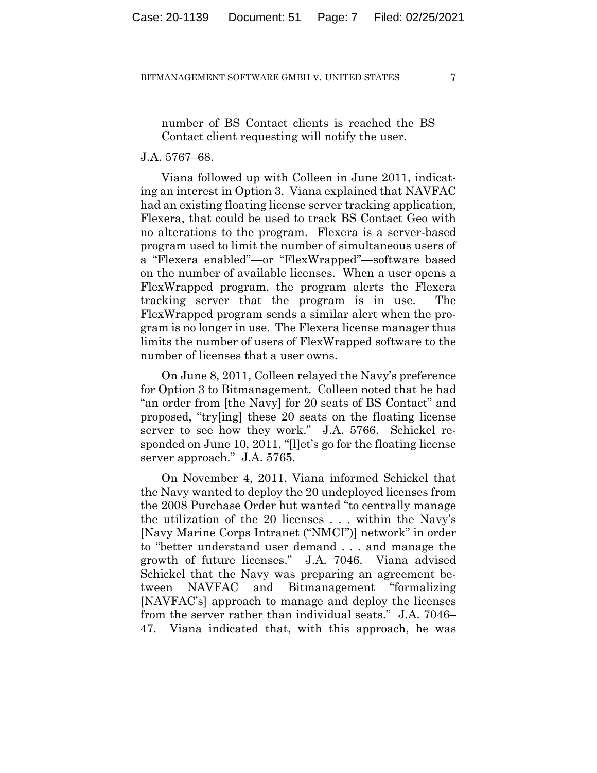number of BS Contact clients is reached the BS Contact client requesting will notify the user.

## J.A. 5767–68.

Viana followed up with Colleen in June 2011, indicating an interest in Option 3. Viana explained that NAVFAC had an existing floating license server tracking application, Flexera, that could be used to track BS Contact Geo with no alterations to the program. Flexera is a server-based program used to limit the number of simultaneous users of a "Flexera enabled"—or "FlexWrapped"—software based on the number of available licenses. When a user opens a FlexWrapped program, the program alerts the Flexera tracking server that the program is in use. The FlexWrapped program sends a similar alert when the program is no longer in use. The Flexera license manager thus limits the number of users of FlexWrapped software to the number of licenses that a user owns.

On June 8, 2011, Colleen relayed the Navy's preference for Option 3 to Bitmanagement. Colleen noted that he had "an order from [the Navy] for 20 seats of BS Contact" and proposed, "try[ing] these 20 seats on the floating license server to see how they work." J.A. 5766. Schickel responded on June 10, 2011, "[l]et's go for the floating license server approach." J.A. 5765.

On November 4, 2011, Viana informed Schickel that the Navy wanted to deploy the 20 undeployed licenses from the 2008 Purchase Order but wanted "to centrally manage the utilization of the 20 licenses . . . within the Navy's [Navy Marine Corps Intranet ("NMCI")] network" in order to "better understand user demand . . . and manage the growth of future licenses." J.A. 7046. Viana advised Schickel that the Navy was preparing an agreement between NAVFAC and Bitmanagement "formalizing [NAVFAC's] approach to manage and deploy the licenses from the server rather than individual seats." J.A. 7046– 47. Viana indicated that, with this approach, he was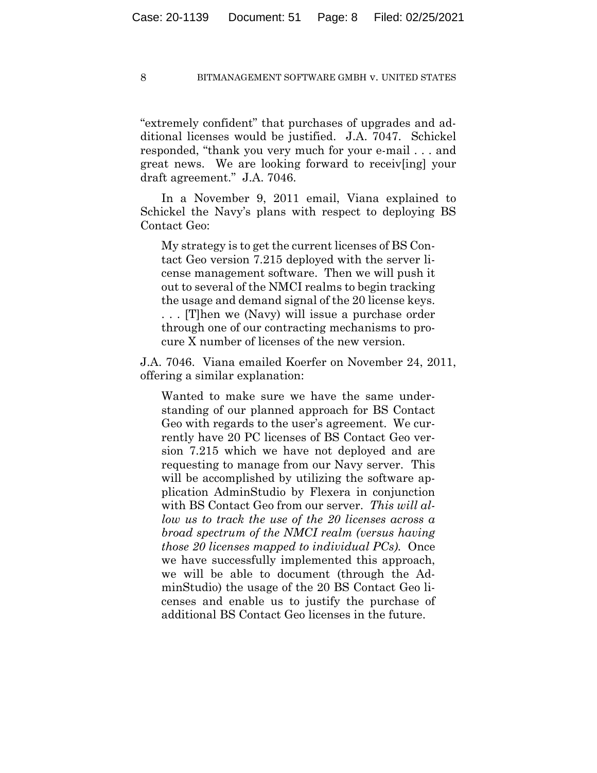"extremely confident" that purchases of upgrades and additional licenses would be justified. J.A. 7047. Schickel responded, "thank you very much for your e-mail . . . and great news. We are looking forward to receiv[ing] your draft agreement." J.A. 7046.

In a November 9, 2011 email, Viana explained to Schickel the Navy's plans with respect to deploying BS Contact Geo:

My strategy is to get the current licenses of BS Contact Geo version 7.215 deployed with the server license management software. Then we will push it out to several of the NMCI realms to begin tracking the usage and demand signal of the 20 license keys. . . . [T]hen we (Navy) will issue a purchase order through one of our contracting mechanisms to procure X number of licenses of the new version.

J.A. 7046. Viana emailed Koerfer on November 24, 2011, offering a similar explanation:

Wanted to make sure we have the same understanding of our planned approach for BS Contact Geo with regards to the user's agreement. We currently have 20 PC licenses of BS Contact Geo version 7.215 which we have not deployed and are requesting to manage from our Navy server. This will be accomplished by utilizing the software application AdminStudio by Flexera in conjunction with BS Contact Geo from our server. *This will allow us to track the use of the 20 licenses across a broad spectrum of the NMCI realm (versus having those 20 licenses mapped to individual PCs).* Once we have successfully implemented this approach, we will be able to document (through the AdminStudio) the usage of the 20 BS Contact Geo licenses and enable us to justify the purchase of additional BS Contact Geo licenses in the future.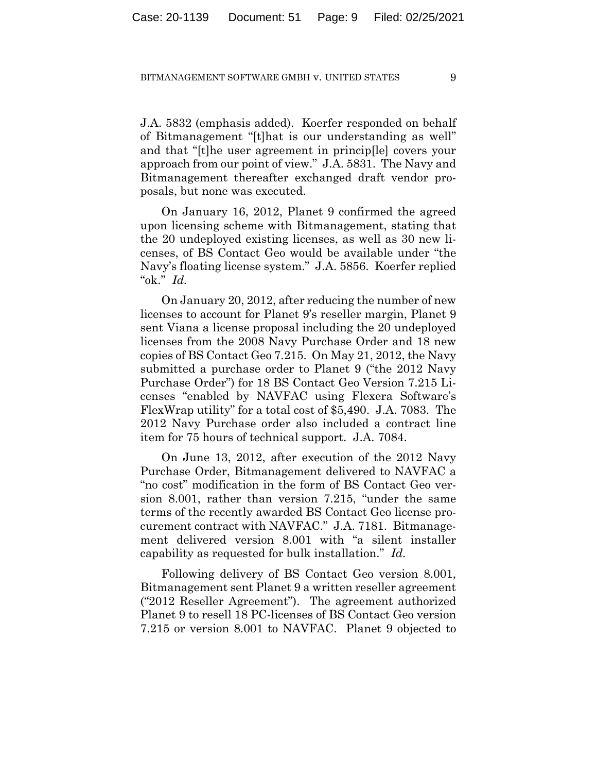J.A. 5832 (emphasis added). Koerfer responded on behalf of Bitmanagement "[t]hat is our understanding as well" and that "[t]he user agreement in princip[le] covers your approach from our point of view." J.A. 5831. The Navy and Bitmanagement thereafter exchanged draft vendor proposals, but none was executed.

On January 16, 2012, Planet 9 confirmed the agreed upon licensing scheme with Bitmanagement, stating that the 20 undeployed existing licenses, as well as 30 new licenses, of BS Contact Geo would be available under "the Navy's floating license system." J.A. 5856. Koerfer replied "ok." *Id.*

On January 20, 2012, after reducing the number of new licenses to account for Planet 9's reseller margin, Planet 9 sent Viana a license proposal including the 20 undeployed licenses from the 2008 Navy Purchase Order and 18 new copies of BS Contact Geo 7.215. On May 21, 2012, the Navy submitted a purchase order to Planet 9 ("the 2012 Navy Purchase Order") for 18 BS Contact Geo Version 7.215 Licenses "enabled by NAVFAC using Flexera Software's FlexWrap utility" for a total cost of \$5,490. J.A. 7083. The 2012 Navy Purchase order also included a contract line item for 75 hours of technical support. J.A. 7084.

On June 13, 2012, after execution of the 2012 Navy Purchase Order, Bitmanagement delivered to NAVFAC a "no cost" modification in the form of BS Contact Geo version 8.001, rather than version 7.215, "under the same terms of the recently awarded BS Contact Geo license procurement contract with NAVFAC." J.A. 7181. Bitmanagement delivered version 8.001 with "a silent installer capability as requested for bulk installation." *Id.*

Following delivery of BS Contact Geo version 8.001, Bitmanagement sent Planet 9 a written reseller agreement ("2012 Reseller Agreement"). The agreement authorized Planet 9 to resell 18 PC-licenses of BS Contact Geo version 7.215 or version 8.001 to NAVFAC. Planet 9 objected to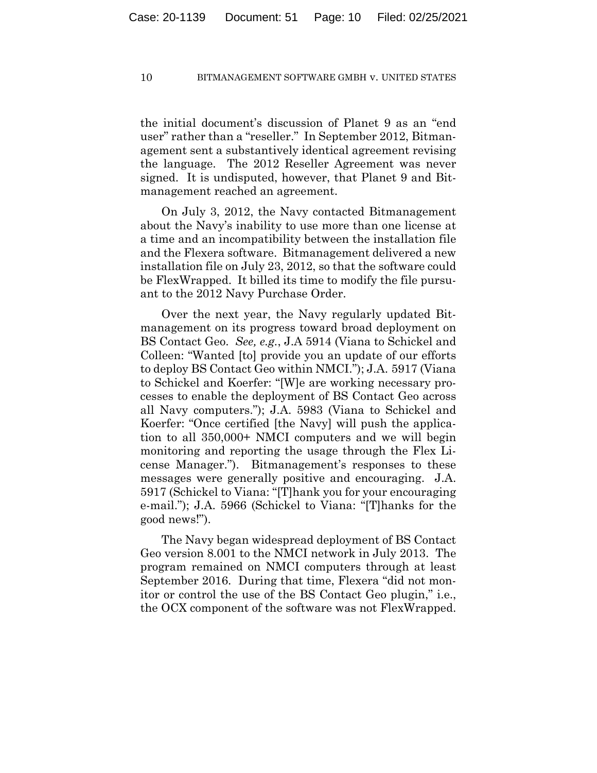the initial document's discussion of Planet 9 as an "end user" rather than a "reseller." In September 2012, Bitmanagement sent a substantively identical agreement revising the language. The 2012 Reseller Agreement was never signed. It is undisputed, however, that Planet 9 and Bitmanagement reached an agreement.

On July 3, 2012, the Navy contacted Bitmanagement about the Navy's inability to use more than one license at a time and an incompatibility between the installation file and the Flexera software. Bitmanagement delivered a new installation file on July 23, 2012, so that the software could be FlexWrapped. It billed its time to modify the file pursuant to the 2012 Navy Purchase Order.

Over the next year, the Navy regularly updated Bitmanagement on its progress toward broad deployment on BS Contact Geo. *See, e.g.*, J.A 5914 (Viana to Schickel and Colleen: "Wanted [to] provide you an update of our efforts to deploy BS Contact Geo within NMCI."); J.A. 5917 (Viana to Schickel and Koerfer: "[W]e are working necessary processes to enable the deployment of BS Contact Geo across all Navy computers."); J.A. 5983 (Viana to Schickel and Koerfer: "Once certified [the Navy] will push the application to all 350,000+ NMCI computers and we will begin monitoring and reporting the usage through the Flex License Manager."). Bitmanagement's responses to these messages were generally positive and encouraging. J.A. 5917 (Schickel to Viana: "[T]hank you for your encouraging e-mail."); J.A. 5966 (Schickel to Viana: "[T]hanks for the good news!").

The Navy began widespread deployment of BS Contact Geo version 8.001 to the NMCI network in July 2013. The program remained on NMCI computers through at least September 2016. During that time, Flexera "did not monitor or control the use of the BS Contact Geo plugin," i.e., the OCX component of the software was not FlexWrapped.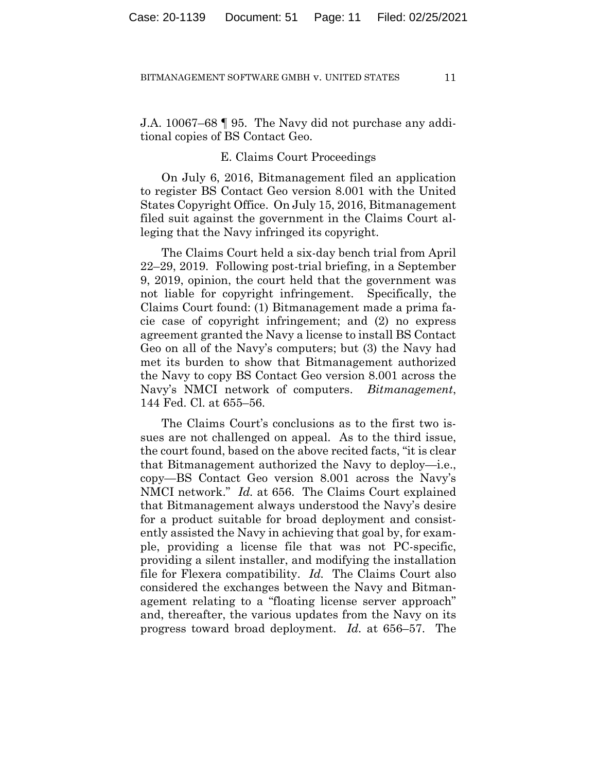J.A. 10067–68 ¶ 95. The Navy did not purchase any additional copies of BS Contact Geo.

# E. Claims Court Proceedings

On July 6, 2016, Bitmanagement filed an application to register BS Contact Geo version 8.001 with the United States Copyright Office. On July 15, 2016, Bitmanagement filed suit against the government in the Claims Court alleging that the Navy infringed its copyright.

The Claims Court held a six-day bench trial from April 22–29, 2019. Following post-trial briefing, in a September 9, 2019, opinion, the court held that the government was not liable for copyright infringement. Specifically, the Claims Court found: (1) Bitmanagement made a prima facie case of copyright infringement; and (2) no express agreement granted the Navy a license to install BS Contact Geo on all of the Navy's computers; but (3) the Navy had met its burden to show that Bitmanagement authorized the Navy to copy BS Contact Geo version 8.001 across the Navy's NMCI network of computers. *Bitmanagement*, 144 Fed. Cl. at 655–56.

The Claims Court's conclusions as to the first two issues are not challenged on appeal. As to the third issue, the court found, based on the above recited facts, "it is clear that Bitmanagement authorized the Navy to deploy—i.e., copy—BS Contact Geo version 8.001 across the Navy's NMCI network." *Id.* at 656. The Claims Court explained that Bitmanagement always understood the Navy's desire for a product suitable for broad deployment and consistently assisted the Navy in achieving that goal by, for example, providing a license file that was not PC-specific, providing a silent installer, and modifying the installation file for Flexera compatibility. *Id.* The Claims Court also considered the exchanges between the Navy and Bitmanagement relating to a "floating license server approach" and, thereafter, the various updates from the Navy on its progress toward broad deployment. *Id.* at 656–57. The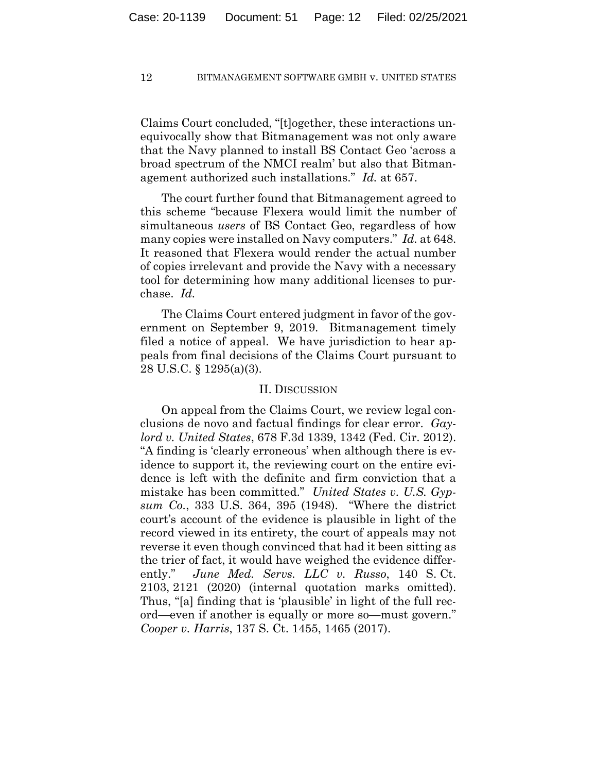Claims Court concluded, "[t]ogether, these interactions unequivocally show that Bitmanagement was not only aware that the Navy planned to install BS Contact Geo 'across a broad spectrum of the NMCI realm' but also that Bitmanagement authorized such installations." *Id.* at 657.

The court further found that Bitmanagement agreed to this scheme "because Flexera would limit the number of simultaneous *users* of BS Contact Geo, regardless of how many copies were installed on Navy computers." *Id.* at 648. It reasoned that Flexera would render the actual number of copies irrelevant and provide the Navy with a necessary tool for determining how many additional licenses to purchase. *Id.* 

The Claims Court entered judgment in favor of the government on September 9, 2019. Bitmanagement timely filed a notice of appeal. We have jurisdiction to hear appeals from final decisions of the Claims Court pursuant to 28 U.S.C. § 1295(a)(3).

## II. DISCUSSION

On appeal from the Claims Court, we review legal conclusions de novo and factual findings for clear error. *Gaylord v. United States*, 678 F.3d 1339, 1342 (Fed. Cir. 2012). "A finding is 'clearly erroneous' when although there is evidence to support it, the reviewing court on the entire evidence is left with the definite and firm conviction that a mistake has been committed." *United States v. U.S. Gypsum Co.*, 333 U.S. 364, 395 (1948). "Where the district court's account of the evidence is plausible in light of the record viewed in its entirety, the court of appeals may not reverse it even though convinced that had it been sitting as the trier of fact, it would have weighed the evidence differently." *June Med. Servs. LLC v. Russo*, 140 S. Ct. 2103, 2121 (2020) (internal quotation marks omitted). Thus, "[a] finding that is 'plausible' in light of the full record—even if another is equally or more so—must govern." *Cooper v. Harris*, 137 S. Ct. 1455, 1465 (2017).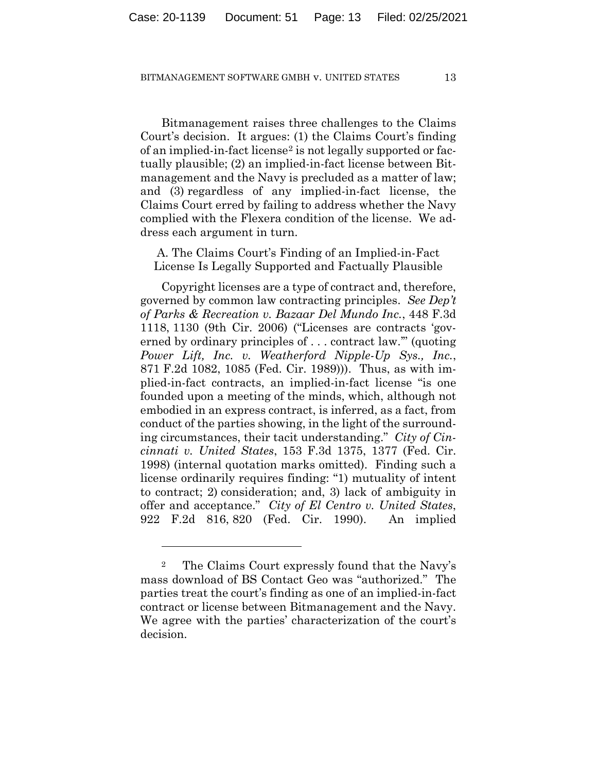Bitmanagement raises three challenges to the Claims Court's decision. It argues: (1) the Claims Court's finding of an implied-in-fact license[2](#page-12-0) is not legally supported or factually plausible; (2) an implied-in-fact license between Bitmanagement and the Navy is precluded as a matter of law; and (3) regardless of any implied-in-fact license, the Claims Court erred by failing to address whether the Navy complied with the Flexera condition of the license. We address each argument in turn.

A. The Claims Court's Finding of an Implied-in-Fact License Is Legally Supported and Factually Plausible

Copyright licenses are a type of contract and, therefore, governed by common law contracting principles. *See Dep't of Parks & Recreation v. Bazaar Del Mundo Inc.*, 448 F.3d 1118, 1130 (9th Cir. 2006) ("Licenses are contracts 'governed by ordinary principles of . . . contract law.'" (quoting *Power Lift, Inc. v. Weatherford Nipple-Up Sys., Inc.*, 871 F.2d 1082, 1085 (Fed. Cir. 1989))). Thus, as with implied-in-fact contracts, an implied-in-fact license "is one founded upon a meeting of the minds, which, although not embodied in an express contract, is inferred, as a fact, from conduct of the parties showing, in the light of the surrounding circumstances, their tacit understanding." *City of Cincinnati v. United States*, 153 F.3d 1375, 1377 (Fed. Cir. 1998) (internal quotation marks omitted). Finding such a license ordinarily requires finding: "1) mutuality of intent to contract; 2) consideration; and, 3) lack of ambiguity in offer and acceptance." *City of El Centro v. United States*, 922 F.2d 816, 820 (Fed. Cir. 1990). An implied

<span id="page-12-0"></span><sup>2</sup> The Claims Court expressly found that the Navy's mass download of BS Contact Geo was "authorized." The parties treat the court's finding as one of an implied-in-fact contract or license between Bitmanagement and the Navy. We agree with the parties' characterization of the court's decision.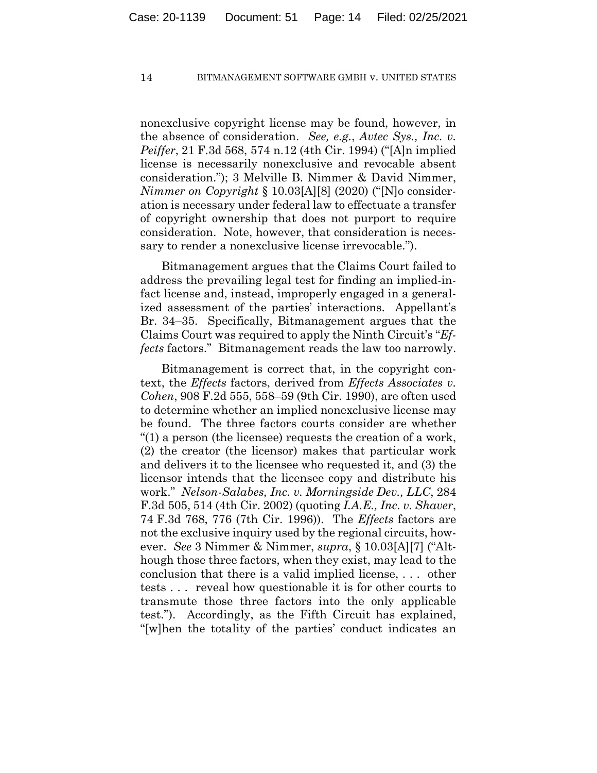nonexclusive copyright license may be found, however, in the absence of consideration. *See, e.g.*, *Avtec Sys., Inc. v. Peiffer*, 21 F.3d 568, 574 n.12 (4th Cir. 1994) ("[A]n implied license is necessarily nonexclusive and revocable absent consideration."); 3 Melville B. Nimmer & David Nimmer, *Nimmer on Copyright* § 10.03[A][8] (2020) ("[N]o consideration is necessary under federal law to effectuate a transfer of copyright ownership that does not purport to require consideration. Note, however, that consideration is necessary to render a nonexclusive license irrevocable.").

Bitmanagement argues that the Claims Court failed to address the prevailing legal test for finding an implied-infact license and, instead, improperly engaged in a generalized assessment of the parties' interactions. Appellant's Br. 34–35. Specifically, Bitmanagement argues that the Claims Court was required to apply the Ninth Circuit's "*Effects* factors." Bitmanagement reads the law too narrowly.

Bitmanagement is correct that, in the copyright context, the *Effects* factors, derived from *Effects Associates v. Cohen*, 908 F.2d 555, 558–59 (9th Cir. 1990), are often used to determine whether an implied nonexclusive license may be found. The three factors courts consider are whether "(1) a person (the licensee) requests the creation of a work, (2) the creator (the licensor) makes that particular work and delivers it to the licensee who requested it, and (3) the licensor intends that the licensee copy and distribute his work." *Nelson-Salabes, Inc. v. Morningside Dev., LLC*, 284 F.3d 505, 514 (4th Cir. 2002) (quoting *I.A.E., Inc. v. Shaver*, 74 F.3d 768, 776 (7th Cir. 1996)). The *Effects* factors are not the exclusive inquiry used by the regional circuits, however. *See* 3 Nimmer & Nimmer, *supra*, § 10.03[A][7] ("Although those three factors, when they exist, may lead to the conclusion that there is a valid implied license, . . . other tests . . . reveal how questionable it is for other courts to transmute those three factors into the only applicable test."). Accordingly, as the Fifth Circuit has explained, "[w]hen the totality of the parties' conduct indicates an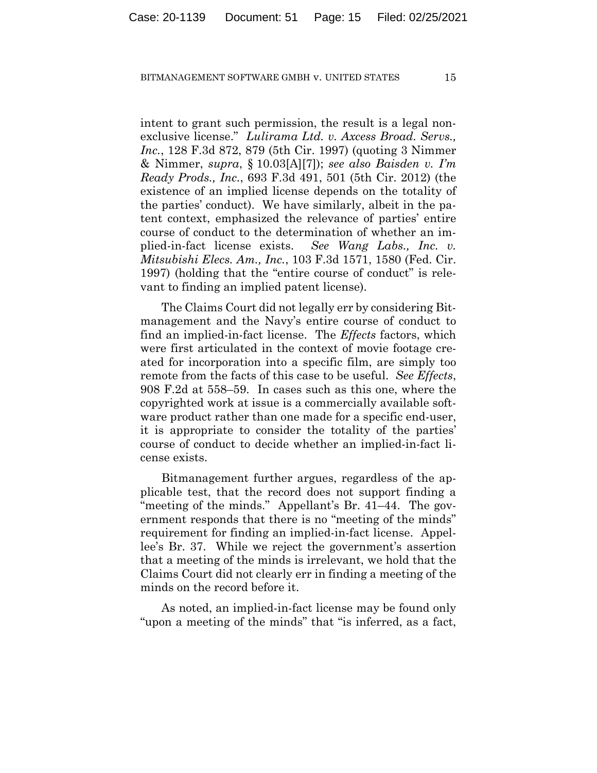intent to grant such permission, the result is a legal nonexclusive license." *Lulirama Ltd. v. Axcess Broad. Servs., Inc.*, 128 F.3d 872, 879 (5th Cir. 1997) (quoting 3 Nimmer & Nimmer, *supra*, § 10.03[A][7]); *see also Baisden v. I'm Ready Prods., Inc.*, 693 F.3d 491, 501 (5th Cir. 2012) (the existence of an implied license depends on the totality of the parties' conduct). We have similarly, albeit in the patent context, emphasized the relevance of parties' entire course of conduct to the determination of whether an implied-in-fact license exists. *See Wang Labs., Inc. v. Mitsubishi Elecs. Am., Inc.*, 103 F.3d 1571, 1580 (Fed. Cir. 1997) (holding that the "entire course of conduct" is relevant to finding an implied patent license).

The Claims Court did not legally err by considering Bitmanagement and the Navy's entire course of conduct to find an implied-in-fact license. The *Effects* factors, which were first articulated in the context of movie footage created for incorporation into a specific film, are simply too remote from the facts of this case to be useful. *See Effects*, 908 F.2d at 558–59. In cases such as this one, where the copyrighted work at issue is a commercially available software product rather than one made for a specific end-user, it is appropriate to consider the totality of the parties' course of conduct to decide whether an implied-in-fact license exists.

Bitmanagement further argues, regardless of the applicable test, that the record does not support finding a "meeting of the minds." Appellant's Br. 41–44. The government responds that there is no "meeting of the minds" requirement for finding an implied-in-fact license. Appellee's Br. 37. While we reject the government's assertion that a meeting of the minds is irrelevant, we hold that the Claims Court did not clearly err in finding a meeting of the minds on the record before it.

As noted, an implied-in-fact license may be found only "upon a meeting of the minds" that "is inferred, as a fact,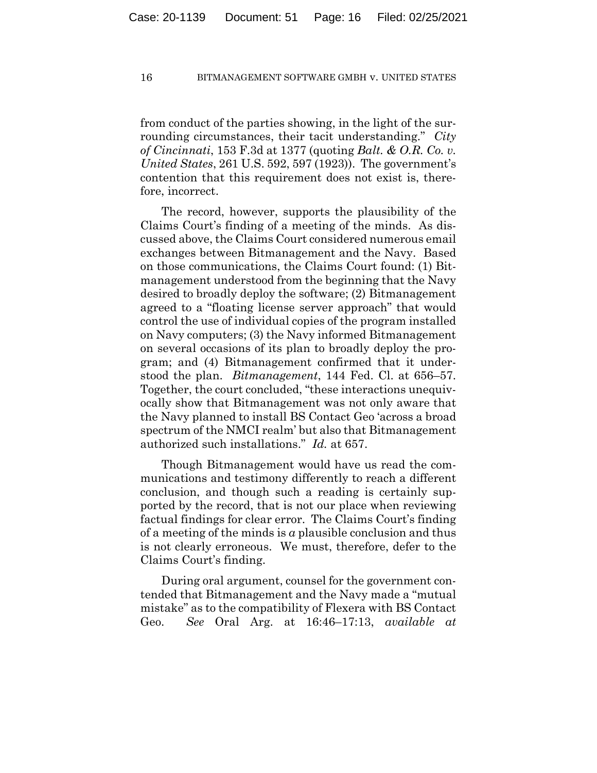from conduct of the parties showing, in the light of the surrounding circumstances, their tacit understanding." *City of Cincinnati*, 153 F.3d at 1377 (quoting *Balt. & O.R. Co. v. United States*, 261 U.S. 592, 597 (1923)). The government's contention that this requirement does not exist is, therefore, incorrect.

The record, however, supports the plausibility of the Claims Court's finding of a meeting of the minds. As discussed above, the Claims Court considered numerous email exchanges between Bitmanagement and the Navy. Based on those communications, the Claims Court found: (1) Bitmanagement understood from the beginning that the Navy desired to broadly deploy the software; (2) Bitmanagement agreed to a "floating license server approach" that would control the use of individual copies of the program installed on Navy computers; (3) the Navy informed Bitmanagement on several occasions of its plan to broadly deploy the program; and (4) Bitmanagement confirmed that it understood the plan. *Bitmanagement*, 144 Fed. Cl. at 656–57. Together, the court concluded, "these interactions unequivocally show that Bitmanagement was not only aware that the Navy planned to install BS Contact Geo 'across a broad spectrum of the NMCI realm' but also that Bitmanagement authorized such installations." *Id.* at 657.

Though Bitmanagement would have us read the communications and testimony differently to reach a different conclusion, and though such a reading is certainly supported by the record, that is not our place when reviewing factual findings for clear error. The Claims Court's finding of a meeting of the minds is *a* plausible conclusion and thus is not clearly erroneous. We must, therefore, defer to the Claims Court's finding.

During oral argument, counsel for the government contended that Bitmanagement and the Navy made a "mutual mistake" as to the compatibility of Flexera with BS Contact Geo. *See* Oral Arg. at 16:46–17:13, *available at*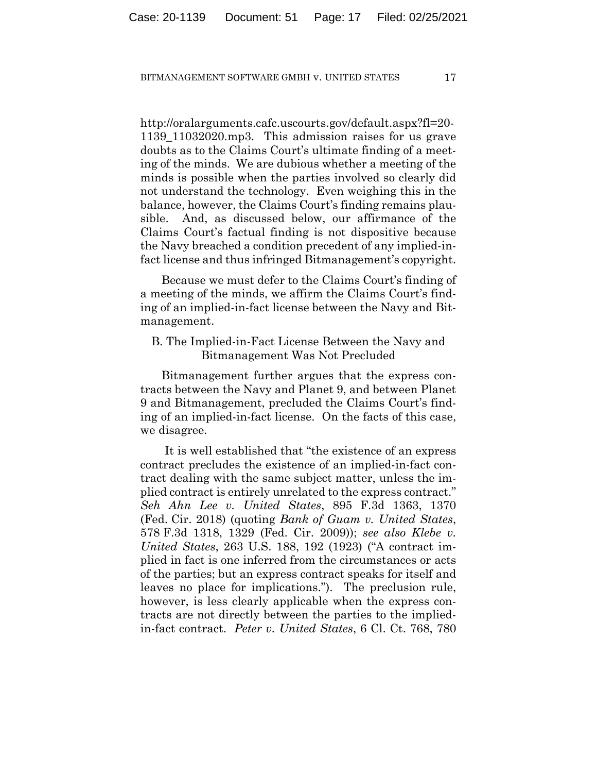http://oralarguments.cafc.uscourts.gov/default.aspx?fl=20- 1139\_11032020.mp3. This admission raises for us grave doubts as to the Claims Court's ultimate finding of a meeting of the minds. We are dubious whether a meeting of the minds is possible when the parties involved so clearly did not understand the technology. Even weighing this in the balance, however, the Claims Court's finding remains plausible. And, as discussed below, our affirmance of the Claims Court's factual finding is not dispositive because the Navy breached a condition precedent of any implied-infact license and thus infringed Bitmanagement's copyright.

Because we must defer to the Claims Court's finding of a meeting of the minds, we affirm the Claims Court's finding of an implied-in-fact license between the Navy and Bitmanagement.

# B. The Implied-in-Fact License Between the Navy and Bitmanagement Was Not Precluded

Bitmanagement further argues that the express contracts between the Navy and Planet 9, and between Planet 9 and Bitmanagement, precluded the Claims Court's finding of an implied-in-fact license. On the facts of this case, we disagree.

It is well established that "the existence of an express contract precludes the existence of an implied-in-fact contract dealing with the same subject matter, unless the implied contract is entirely unrelated to the express contract." *Seh Ahn Lee v. United States*, 895 F.3d 1363, 1370 (Fed. Cir. 2018) (quoting *Bank of Guam v. United States*, 578 F.3d 1318, 1329 (Fed. Cir. 2009)); *see also Klebe v. United States*, 263 U.S. 188, 192 (1923) ("A contract implied in fact is one inferred from the circumstances or acts of the parties; but an express contract speaks for itself and leaves no place for implications."). The preclusion rule, however, is less clearly applicable when the express contracts are not directly between the parties to the impliedin-fact contract. *Peter v. United States*, 6 Cl. Ct. 768, 780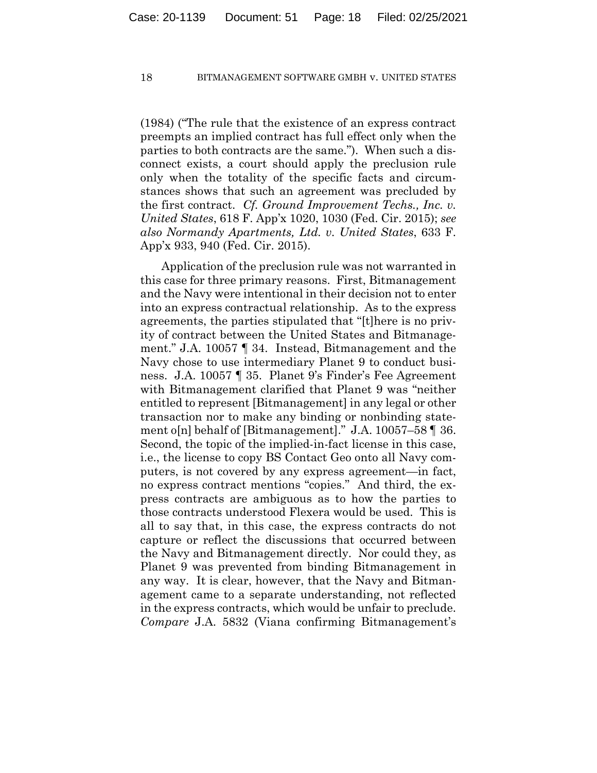(1984) ("The rule that the existence of an express contract preempts an implied contract has full effect only when the parties to both contracts are the same."). When such a disconnect exists, a court should apply the preclusion rule only when the totality of the specific facts and circumstances shows that such an agreement was precluded by the first contract. *Cf. Ground Improvement Techs., Inc. v. United States*, 618 F. App'x 1020, 1030 (Fed. Cir. 2015); *see also Normandy Apartments, Ltd. v. United States*, 633 F. App'x 933, 940 (Fed. Cir. 2015).

Application of the preclusion rule was not warranted in this case for three primary reasons. First, Bitmanagement and the Navy were intentional in their decision not to enter into an express contractual relationship. As to the express agreements, the parties stipulated that "[t]here is no privity of contract between the United States and Bitmanagement." J.A. 10057 ¶ 34. Instead, Bitmanagement and the Navy chose to use intermediary Planet 9 to conduct business. J.A. 10057 ¶ 35. Planet 9's Finder's Fee Agreement with Bitmanagement clarified that Planet 9 was "neither entitled to represent [Bitmanagement] in any legal or other transaction nor to make any binding or nonbinding statement o[n] behalf of [Bitmanagement]." J.A. 10057–58 ¶ 36. Second, the topic of the implied-in-fact license in this case, i.e., the license to copy BS Contact Geo onto all Navy computers, is not covered by any express agreement—in fact, no express contract mentions "copies." And third, the express contracts are ambiguous as to how the parties to those contracts understood Flexera would be used. This is all to say that, in this case, the express contracts do not capture or reflect the discussions that occurred between the Navy and Bitmanagement directly. Nor could they, as Planet 9 was prevented from binding Bitmanagement in any way. It is clear, however, that the Navy and Bitmanagement came to a separate understanding, not reflected in the express contracts, which would be unfair to preclude. *Compare* J.A. 5832 (Viana confirming Bitmanagement's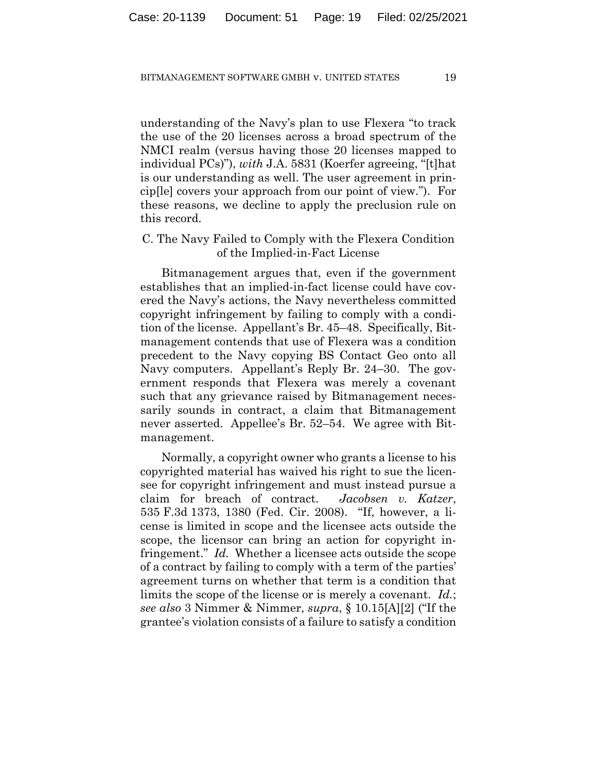understanding of the Navy's plan to use Flexera "to track the use of the 20 licenses across a broad spectrum of the NMCI realm (versus having those 20 licenses mapped to individual PCs)"), *with* J.A. 5831 (Koerfer agreeing, "[t]hat is our understanding as well. The user agreement in princip[le] covers your approach from our point of view."). For these reasons, we decline to apply the preclusion rule on this record.

# C. The Navy Failed to Comply with the Flexera Condition of the Implied-in-Fact License

Bitmanagement argues that, even if the government establishes that an implied-in-fact license could have covered the Navy's actions, the Navy nevertheless committed copyright infringement by failing to comply with a condition of the license. Appellant's Br. 45–48. Specifically, Bitmanagement contends that use of Flexera was a condition precedent to the Navy copying BS Contact Geo onto all Navy computers. Appellant's Reply Br. 24–30. The government responds that Flexera was merely a covenant such that any grievance raised by Bitmanagement necessarily sounds in contract, a claim that Bitmanagement never asserted. Appellee's Br. 52–54. We agree with Bitmanagement.

Normally, a copyright owner who grants a license to his copyrighted material has waived his right to sue the licensee for copyright infringement and must instead pursue a claim for breach of contract. *Jacobsen v. Katzer*, 535 F.3d 1373, 1380 (Fed. Cir. 2008). "If, however, a license is limited in scope and the licensee acts outside the scope, the licensor can bring an action for copyright infringement." *Id.* Whether a licensee acts outside the scope of a contract by failing to comply with a term of the parties' agreement turns on whether that term is a condition that limits the scope of the license or is merely a covenant. *Id.*; *see also* 3 Nimmer & Nimmer, *supra*, § 10.15[A][2] ("If the grantee's violation consists of a failure to satisfy a condition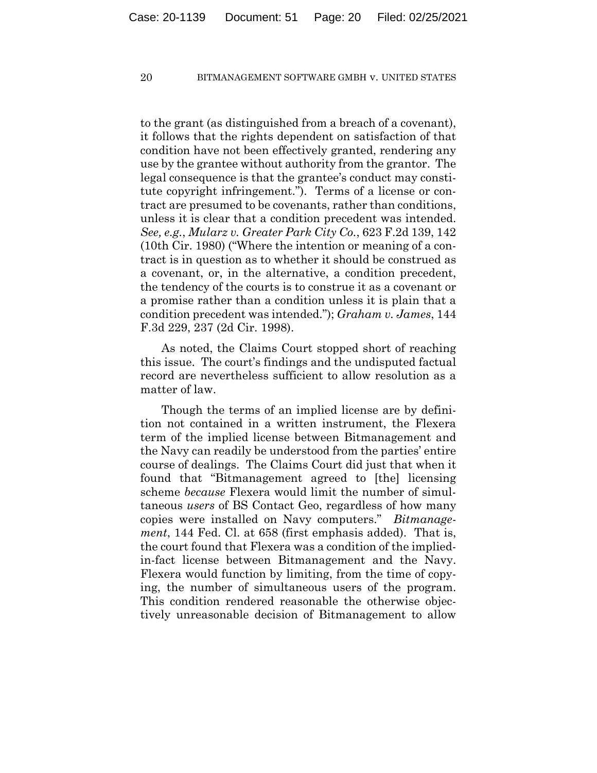to the grant (as distinguished from a breach of a covenant), it follows that the rights dependent on satisfaction of that condition have not been effectively granted, rendering any use by the grantee without authority from the grantor. The legal consequence is that the grantee's conduct may constitute copyright infringement."). Terms of a license or contract are presumed to be covenants, rather than conditions, unless it is clear that a condition precedent was intended. *See, e.g.*, *Mularz v. Greater Park City Co.*, 623 F.2d 139, 142 (10th Cir. 1980) ("Where the intention or meaning of a contract is in question as to whether it should be construed as a covenant, or, in the alternative, a condition precedent, the tendency of the courts is to construe it as a covenant or a promise rather than a condition unless it is plain that a condition precedent was intended."); *Graham v. James*, 144 F.3d 229, 237 (2d Cir. 1998).

As noted, the Claims Court stopped short of reaching this issue. The court's findings and the undisputed factual record are nevertheless sufficient to allow resolution as a matter of law.

Though the terms of an implied license are by definition not contained in a written instrument, the Flexera term of the implied license between Bitmanagement and the Navy can readily be understood from the parties' entire course of dealings. The Claims Court did just that when it found that "Bitmanagement agreed to [the] licensing scheme *because* Flexera would limit the number of simultaneous *users* of BS Contact Geo, regardless of how many copies were installed on Navy computers." *Bitmanagement*, 144 Fed. Cl. at 658 (first emphasis added). That is, the court found that Flexera was a condition of the impliedin-fact license between Bitmanagement and the Navy. Flexera would function by limiting, from the time of copying, the number of simultaneous users of the program. This condition rendered reasonable the otherwise objectively unreasonable decision of Bitmanagement to allow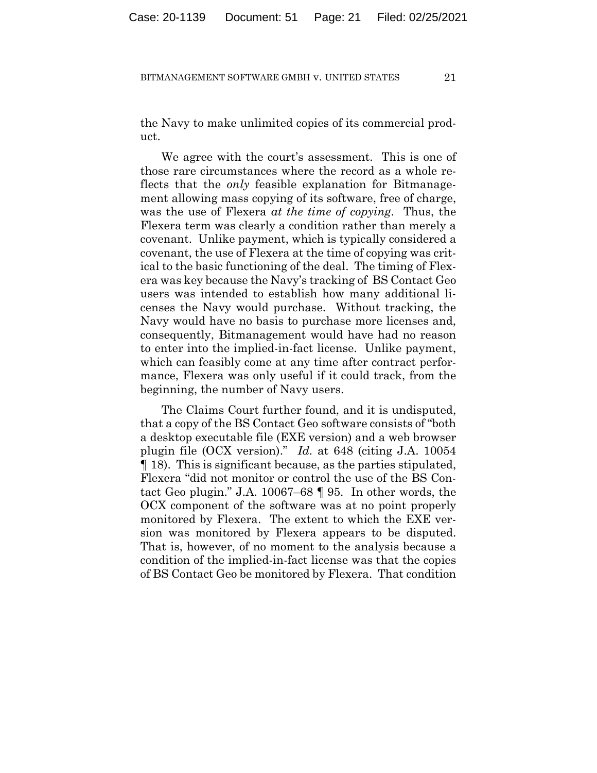the Navy to make unlimited copies of its commercial product.

We agree with the court's assessment. This is one of those rare circumstances where the record as a whole reflects that the *only* feasible explanation for Bitmanagement allowing mass copying of its software, free of charge, was the use of Flexera *at the time of copying*. Thus, the Flexera term was clearly a condition rather than merely a covenant. Unlike payment, which is typically considered a covenant, the use of Flexera at the time of copying was critical to the basic functioning of the deal. The timing of Flexera was key because the Navy's tracking of BS Contact Geo users was intended to establish how many additional licenses the Navy would purchase. Without tracking, the Navy would have no basis to purchase more licenses and, consequently, Bitmanagement would have had no reason to enter into the implied-in-fact license. Unlike payment, which can feasibly come at any time after contract performance, Flexera was only useful if it could track, from the beginning, the number of Navy users.

The Claims Court further found, and it is undisputed, that a copy of the BS Contact Geo software consists of "both a desktop executable file (EXE version) and a web browser plugin file (OCX version)." *Id.* at 648 (citing J.A. 10054 ¶ 18). This is significant because, as the parties stipulated, Flexera "did not monitor or control the use of the BS Contact Geo plugin." J.A. 10067–68 ¶ 95. In other words, the OCX component of the software was at no point properly monitored by Flexera. The extent to which the EXE version was monitored by Flexera appears to be disputed. That is, however, of no moment to the analysis because a condition of the implied-in-fact license was that the copies of BS Contact Geo be monitored by Flexera. That condition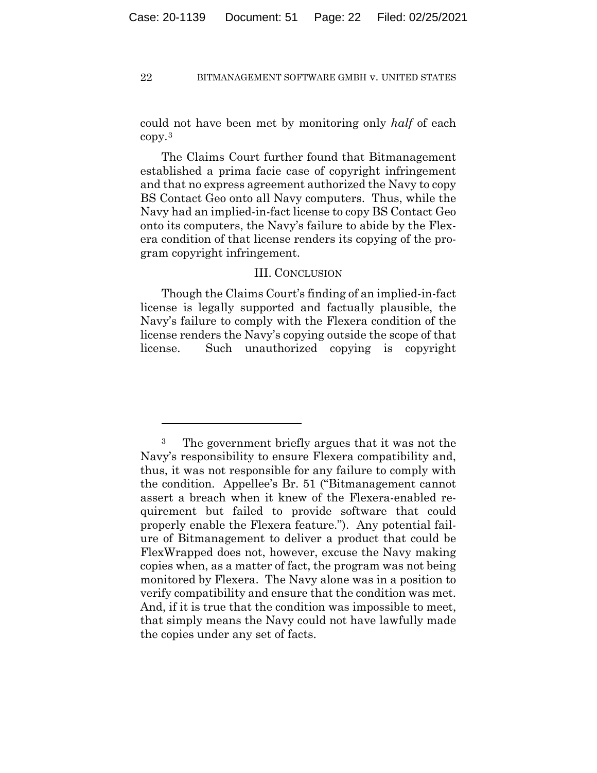could not have been met by monitoring only *half* of each copy.[3](#page-21-0) 

The Claims Court further found that Bitmanagement established a prima facie case of copyright infringement and that no express agreement authorized the Navy to copy BS Contact Geo onto all Navy computers. Thus, while the Navy had an implied-in-fact license to copy BS Contact Geo onto its computers, the Navy's failure to abide by the Flexera condition of that license renders its copying of the program copyright infringement.

## III. CONCLUSION

Though the Claims Court's finding of an implied-in-fact license is legally supported and factually plausible, the Navy's failure to comply with the Flexera condition of the license renders the Navy's copying outside the scope of that license. Such unauthorized copying is copyright

<span id="page-21-0"></span><sup>3</sup> The government briefly argues that it was not the Navy's responsibility to ensure Flexera compatibility and, thus, it was not responsible for any failure to comply with the condition. Appellee's Br. 51 ("Bitmanagement cannot assert a breach when it knew of the Flexera-enabled requirement but failed to provide software that could properly enable the Flexera feature."). Any potential failure of Bitmanagement to deliver a product that could be FlexWrapped does not, however, excuse the Navy making copies when, as a matter of fact, the program was not being monitored by Flexera. The Navy alone was in a position to verify compatibility and ensure that the condition was met. And, if it is true that the condition was impossible to meet, that simply means the Navy could not have lawfully made the copies under any set of facts.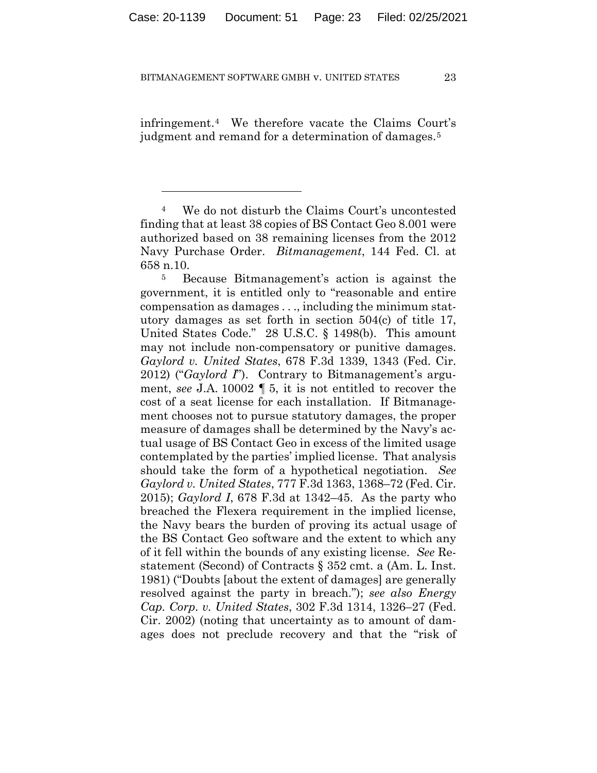infringement.[4](#page-22-0) We therefore vacate the Claims Court's judgment and remand for a determination of damages.[5](#page-22-1)

<span id="page-22-0"></span><sup>4</sup> We do not disturb the Claims Court's uncontested finding that at least 38 copies of BS Contact Geo 8.001 were authorized based on 38 remaining licenses from the 2012 Navy Purchase Order. *Bitmanagement*, 144 Fed. Cl. at 658 n.10.

<span id="page-22-1"></span><sup>5</sup> Because Bitmanagement's action is against the government, it is entitled only to "reasonable and entire compensation as damages . . ., including the minimum statutory damages as set forth in section 504(c) of title 17, United States Code." 28 U.S.C. § 1498(b). This amount may not include non-compensatory or punitive damages. *Gaylord v. United States*, 678 F.3d 1339, 1343 (Fed. Cir. 2012) ("*Gaylord I*"). Contrary to Bitmanagement's argument, *see* J.A. 10002 ¶ 5, it is not entitled to recover the cost of a seat license for each installation. If Bitmanagement chooses not to pursue statutory damages, the proper measure of damages shall be determined by the Navy's actual usage of BS Contact Geo in excess of the limited usage contemplated by the parties' implied license. That analysis should take the form of a hypothetical negotiation. *See Gaylord v. United States*, 777 F.3d 1363, 1368–72 (Fed. Cir. 2015); *Gaylord I*, 678 F.3d at 1342–45. As the party who breached the Flexera requirement in the implied license, the Navy bears the burden of proving its actual usage of the BS Contact Geo software and the extent to which any of it fell within the bounds of any existing license. *See* Restatement (Second) of Contracts § 352 cmt. a (Am. L. Inst. 1981) ("Doubts [about the extent of damages] are generally resolved against the party in breach."); *see also Energy Cap. Corp. v. United States*, 302 F.3d 1314, 1326–27 (Fed. Cir. 2002) (noting that uncertainty as to amount of damages does not preclude recovery and that the "risk of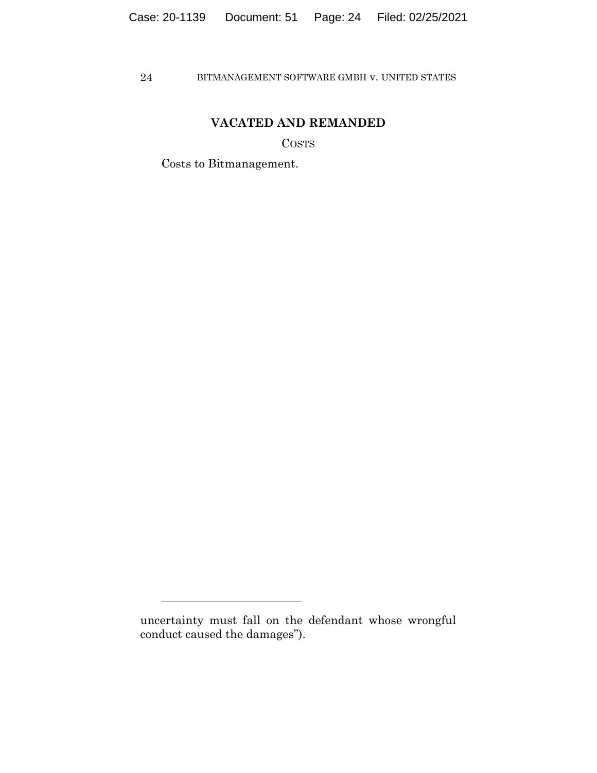# **VACATED AND REMANDED**

COSTS

Costs to Bitmanagement.

uncertainty must fall on the defendant whose wrongful conduct caused the damages").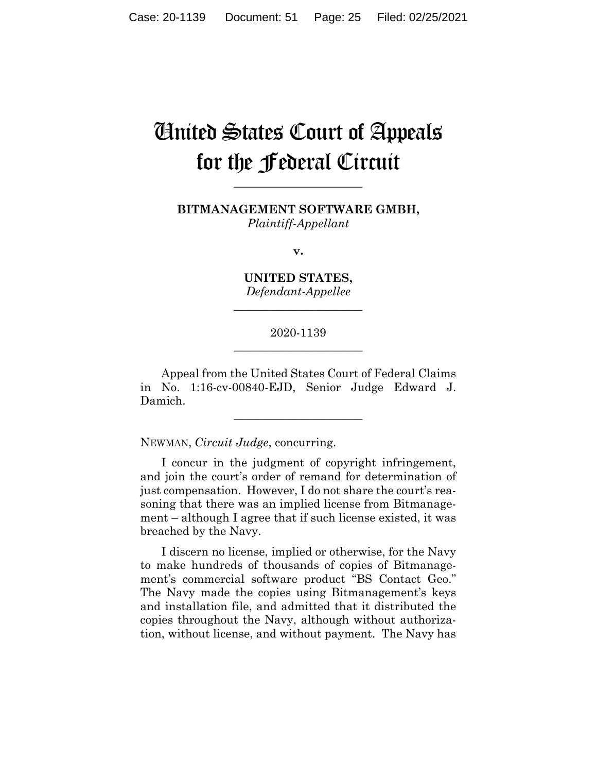# United States Court of Appeals for the Federal Circuit

**BITMANAGEMENT SOFTWARE GMBH,**

**\_\_\_\_\_\_\_\_\_\_\_\_\_\_\_\_\_\_\_\_\_\_**

*Plaintiff-Appellant*

**v.**

**UNITED STATES,** *Defendant-Appellee*

**\_\_\_\_\_\_\_\_\_\_\_\_\_\_\_\_\_\_\_\_\_\_**

# 2020-1139 **\_\_\_\_\_\_\_\_\_\_\_\_\_\_\_\_\_\_\_\_\_\_**

Appeal from the United States Court of Federal Claims in No. 1:16-cv-00840-EJD, Senior Judge Edward J. Damich.

\_\_\_\_\_\_\_\_\_\_\_\_\_\_\_\_\_\_\_\_\_\_

NEWMAN, *Circuit Judge*, concurring.

I concur in the judgment of copyright infringement, and join the court's order of remand for determination of just compensation. However, I do not share the court's reasoning that there was an implied license from Bitmanagement – although I agree that if such license existed, it was breached by the Navy.

I discern no license, implied or otherwise, for the Navy to make hundreds of thousands of copies of Bitmanagement's commercial software product "BS Contact Geo." The Navy made the copies using Bitmanagement's keys and installation file, and admitted that it distributed the copies throughout the Navy, although without authorization, without license, and without payment. The Navy has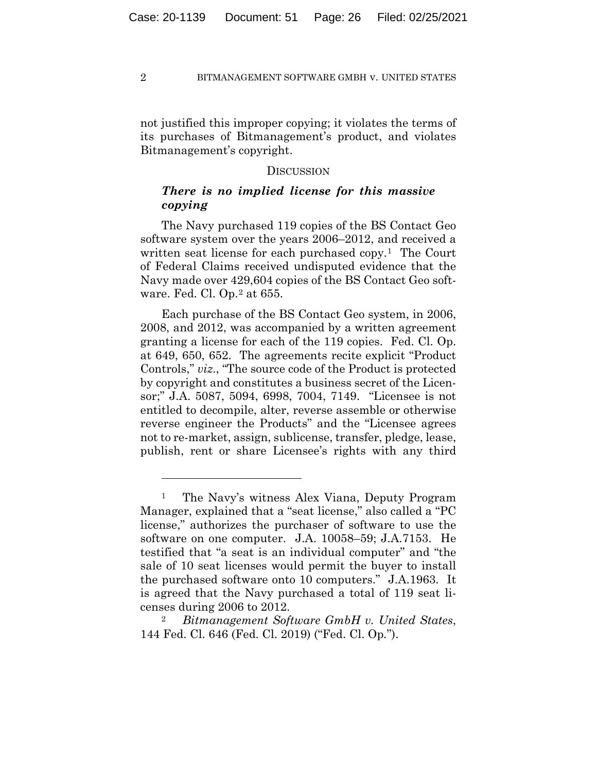not justified this improper copying; it violates the terms of its purchases of Bitmanagement's product, and violates Bitmanagement's copyright.

## **DISCUSSION**

# *There is no implied license for this massive copying*

The Navy purchased 119 copies of the BS Contact Geo software system over the years 2006–2012, and received a written seat license for each purchased copy.<sup>[1](#page-25-0)</sup> The Court of Federal Claims received undisputed evidence that the Navy made over 429,604 copies of the BS Contact Geo software. Fed. Cl. Op.[2](#page-25-1) at 655.

Each purchase of the BS Contact Geo system, in 2006, 2008, and 2012, was accompanied by a written agreement granting a license for each of the 119 copies. Fed. Cl. Op. at 649, 650, 652. The agreements recite explicit "Product Controls," *viz*., "The source code of the Product is protected by copyright and constitutes a business secret of the Licensor;" J.A. 5087, 5094, 6998, 7004, 7149. "Licensee is not entitled to decompile, alter, reverse assemble or otherwise reverse engineer the Products" and the "Licensee agrees not to re-market, assign, sublicense, transfer, pledge, lease, publish, rent or share Licensee's rights with any third

<span id="page-25-0"></span><sup>1</sup> The Navy's witness Alex Viana, Deputy Program Manager, explained that a "seat license," also called a "PC license," authorizes the purchaser of software to use the software on one computer. J.A. 10058–59; J.A.7153. He testified that "a seat is an individual computer" and "the sale of 10 seat licenses would permit the buyer to install the purchased software onto 10 computers." J.A.1963. It is agreed that the Navy purchased a total of 119 seat licenses during 2006 to 2012.

<span id="page-25-1"></span><sup>2</sup> *Bitmanagement Software GmbH v. United States*, 144 Fed. Cl. 646 (Fed. Cl. 2019) ("Fed. Cl. Op*.*").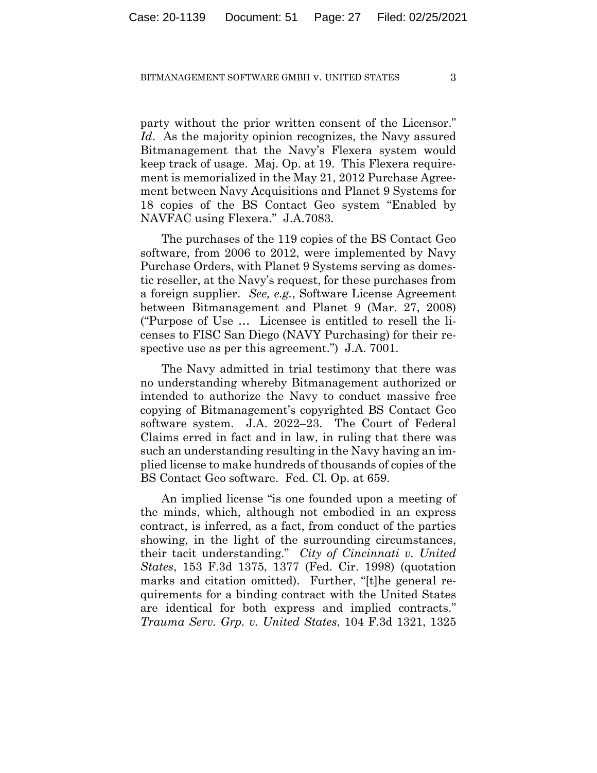party without the prior written consent of the Licensor." *Id*. As the majority opinion recognizes, the Navy assured Bitmanagement that the Navy's Flexera system would keep track of usage. Maj. Op. at 19. This Flexera requirement is memorialized in the May 21, 2012 Purchase Agreement between Navy Acquisitions and Planet 9 Systems for 18 copies of the BS Contact Geo system "Enabled by NAVFAC using Flexera." J.A.7083.

The purchases of the 119 copies of the BS Contact Geo software, from 2006 to 2012, were implemented by Navy Purchase Orders, with Planet 9 Systems serving as domestic reseller, at the Navy's request, for these purchases from a foreign supplier. *See, e.g.*, Software License Agreement between Bitmanagement and Planet 9 (Mar. 27, 2008) ("Purpose of Use … Licensee is entitled to resell the licenses to FISC San Diego (NAVY Purchasing) for their respective use as per this agreement." J.A. 7001.

The Navy admitted in trial testimony that there was no understanding whereby Bitmanagement authorized or intended to authorize the Navy to conduct massive free copying of Bitmanagement's copyrighted BS Contact Geo software system. J.A. 2022–23. The Court of Federal Claims erred in fact and in law, in ruling that there was such an understanding resulting in the Navy having an implied license to make hundreds of thousands of copies of the BS Contact Geo software. Fed. Cl. Op. at 659.

An implied license "is one founded upon a meeting of the minds, which, although not embodied in an express contract, is inferred, as a fact, from conduct of the parties showing, in the light of the surrounding circumstances, their tacit understanding." *City of Cincinnati v. United States*, 153 F.3d 1375, 1377 (Fed. Cir. 1998) (quotation marks and citation omitted). Further, "[t]he general requirements for a binding contract with the United States are identical for both express and implied contracts." *Trauma Serv. Grp. v. United States*, [104 F.3d 1321, 1325](https://1.next.westlaw.com/Link/Document/FullText?findType=Y&serNum=1997033534&pubNum=0000506&originatingDoc=Ic7f5fc8f7a7911db8af7b21dc878c125&refType=RP&fi=co_pp_sp_506_1325&originationContext=document&transitionType=DocumentItem&contextData=(sc.UserEnteredCitation)#co_pp_sp_506_1325)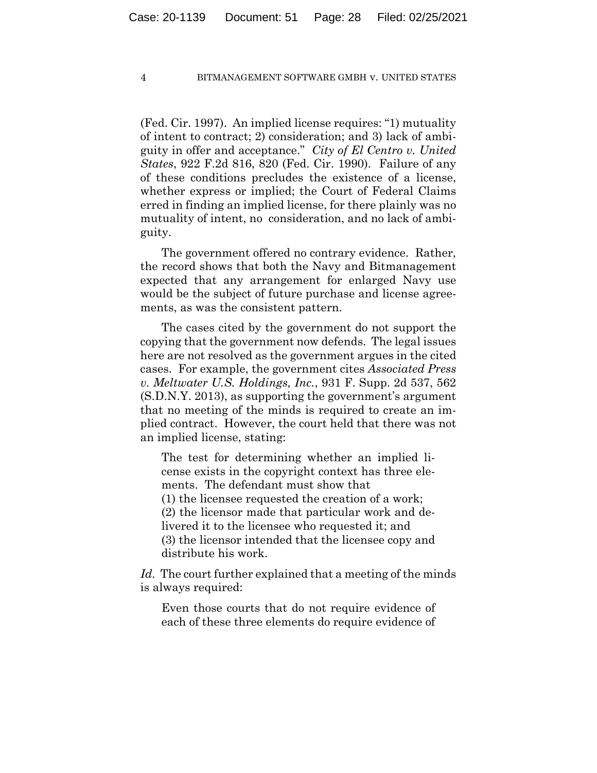(Fed. Cir. [1997\)](https://1.next.westlaw.com/Link/Document/FullText?findType=Y&serNum=1997033534&pubNum=0000506&originatingDoc=Ic7f5fc8f7a7911db8af7b21dc878c125&refType=RP&fi=co_pp_sp_506_1325&originationContext=document&transitionType=DocumentItem&contextData=(sc.UserEnteredCitation)#co_pp_sp_506_1325). An implied license requires: "1) mutuality of intent to contract; 2) consideration; and 3) lack of ambiguity in offer and acceptance." *City of El Centro v. United States*, 922 F.2d 816, 820 (Fed. Cir. 1990). Failure of any of these conditions precludes the existence of a license, whether express or implied; the Court of Federal Claims erred in finding an implied license, for there plainly was no mutuality of intent, no consideration, and no lack of ambiguity.

The government offered no contrary evidence. Rather, the record shows that both the Navy and Bitmanagement expected that any arrangement for enlarged Navy use would be the subject of future purchase and license agreements, as was the consistent pattern.

The cases cited by the government do not support the copying that the government now defends. The legal issues here are not resolved as the government argues in the cited cases. For example, the government cites *Associated Press v. Meltwater U.S. Holdings, Inc.*, 931 F. Supp. 2d 537, 562 (S.D.N.Y. 2013), as supporting the government's argument that no meeting of the minds is required to create an implied contract. However, the court held that there was not an implied license, stating:

The test for determining whether an implied license exists in the copyright context has three elements. The defendant must show that (1) the licensee requested the creation of a work; (2) the licensor made that particular work and delivered it to the licensee who requested it; and (3) the licensor intended that the licensee copy and distribute his work.

*Id.* The court further explained that a meeting of the minds is always required:

Even those courts that do not require evidence of each of these three elements do require evidence of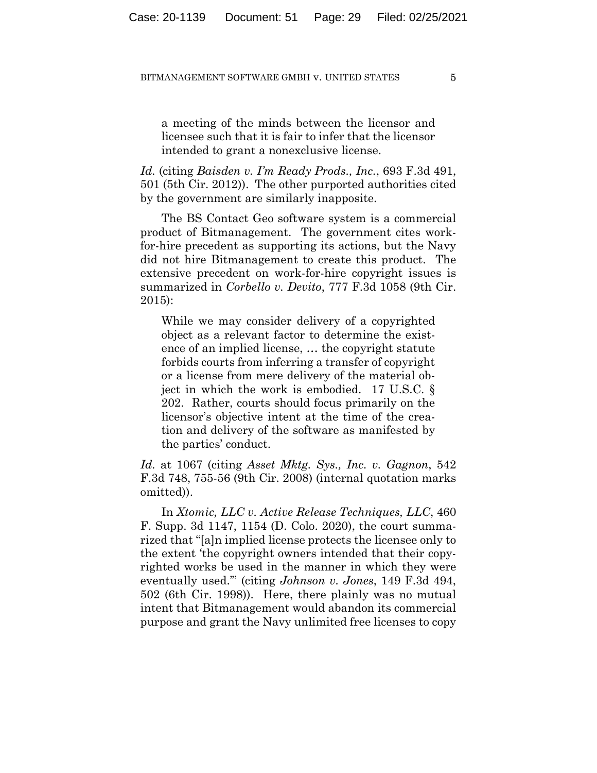a meeting of the minds between the licensor and licensee such that it is fair to infer that the licensor intended to grant a nonexclusive license.

*Id.* (citing *Baisden v. I'm Ready Prods., Inc.*, 693 F.3d 491, 501 (5th Cir. 2012)). The other purported authorities cited by the government are similarly inapposite.

The BS Contact Geo software system is a commercial product of Bitmanagement. The government cites workfor-hire precedent as supporting its actions, but the Navy did not hire Bitmanagement to create this product. The extensive precedent on work-for-hire copyright issues is summarized in *Corbello v. Devito*, 777 F.3d 1058 (9th Cir. 2015):

While we may consider delivery of a copyrighted object as a relevant factor to determine the existence of an implied license, … the copyright statute forbids courts from inferring a transfer of copyright or a license from mere delivery of the material object in which the work is embodied. 17 U.S.C. § 202. Rather, courts should focus primarily on the licensor's objective intent at the time of the creation and delivery of the software as manifested by the parties' conduct.

*Id.* at 1067 (citing *Asset Mktg. Sys., Inc. v. Gagnon*, 542 F.3d 748, 755-56 (9th Cir. 2008) (internal quotation marks omitted)).

In *Xtomic, LLC v. Active Release Techniques, LLC*, 460 F. Supp. 3d 1147, 1154 (D. Colo. 2020), the court summarized that "[a]n implied license protects the licensee only to the extent 'the copyright owners intended that their copyrighted works be used in the manner in which they were eventually used.'" (citing *Johnson v. Jones*, 149 F.3d 494, 502 (6th Cir. 1998)). Here, there plainly was no mutual intent that Bitmanagement would abandon its commercial purpose and grant the Navy unlimited free licenses to copy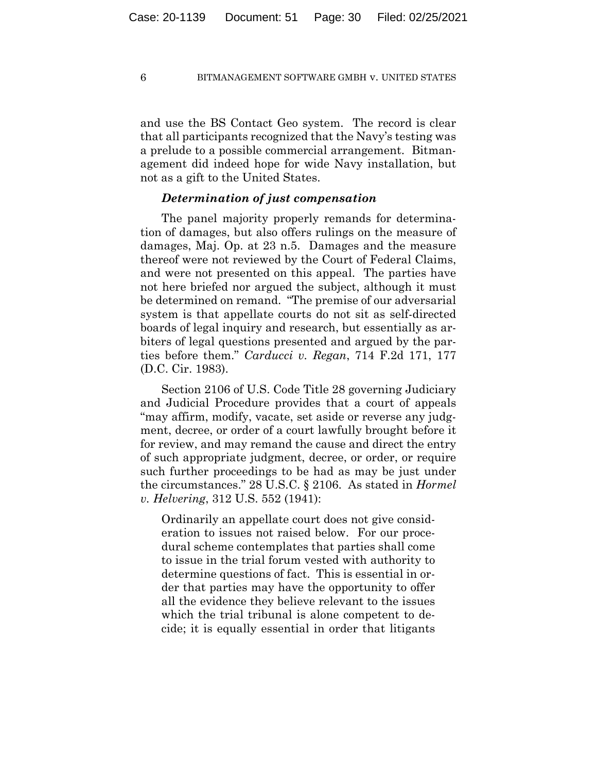and use the BS Contact Geo system. The record is clear that all participants recognized that the Navy's testing was a prelude to a possible commercial arrangement. Bitmanagement did indeed hope for wide Navy installation, but not as a gift to the United States.

## *Determination of just compensation*

The panel majority properly remands for determination of damages, but also offers rulings on the measure of damages, Maj. Op. at 23 n.5. Damages and the measure thereof were not reviewed by the Court of Federal Claims, and were not presented on this appeal. The parties have not here briefed nor argued the subject, although it must be determined on remand. "The premise of our adversarial system is that appellate courts do not sit as self-directed boards of legal inquiry and research, but essentially as arbiters of legal questions presented and argued by the parties before them." *Carducci v. Regan*, 714 F.2d 171, 177 (D.C. Cir. 1983).

Section 2106 of U.S. Code Title 28 governing Judiciary and Judicial Procedure provides that a court of appeals "may affirm, modify, vacate, set aside or reverse any judgment, decree, or order of a court lawfully brought before it for review, and may remand the cause and direct the entry of such appropriate judgment, decree, or order, or require such further proceedings to be had as may be just under the circumstances." 28 U.S.C. § 2106. As stated in *Hormel v. Helvering*, 312 U.S. 552 (1941):

Ordinarily an appellate court does not give consideration to issues not raised below. For our procedural scheme contemplates that parties shall come to issue in the trial forum vested with authority to determine questions of fact. This is essential in order that parties may have the opportunity to offer all the evidence they believe relevant to the issues which the trial tribunal is alone competent to decide; it is equally essential in order that litigants